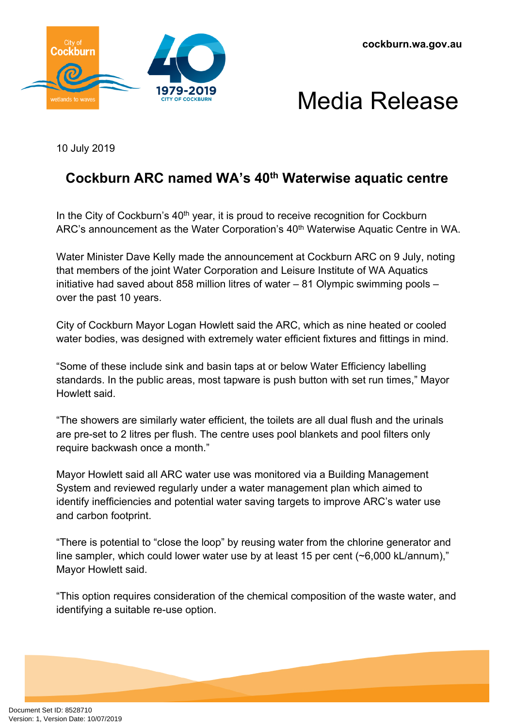



## Media Release

10 July 2019

## **Cockburn ARC named WA's 40th Waterwise aquatic centre**

In the City of Cockburn's  $40<sup>th</sup>$  year, it is proud to receive recognition for Cockburn ARC's announcement as the Water Corporation's 40<sup>th</sup> Waterwise Aquatic Centre in WA.

Water Minister Dave Kelly made the announcement at Cockburn ARC on 9 July, noting that members of the joint Water Corporation and Leisure Institute of WA Aquatics initiative had saved about 858 million litres of water – 81 Olympic swimming pools – over the past 10 years.

City of Cockburn Mayor Logan Howlett said the ARC, which as nine heated or cooled water bodies, was designed with extremely water efficient fixtures and fittings in mind.

"Some of these include sink and basin taps at or below Water Efficiency labelling standards. In the public areas, most tapware is push button with set run times," Mayor Howlett said.

"The showers are similarly water efficient, the toilets are all dual flush and the urinals are pre-set to 2 litres per flush. The centre uses pool blankets and pool filters only require backwash once a month."

Mayor Howlett said all ARC water use was monitored via a Building Management System and reviewed regularly under a water management plan which aimed to identify inefficiencies and potential water saving targets to improve ARC's water use and carbon footprint.

"There is potential to "close the loop" by reusing water from the chlorine generator and line sampler, which could lower water use by at least 15 per cent (~6,000 kL/annum)," Mayor Howlett said.

"This option requires consideration of the chemical composition of the waste water, and identifying a suitable re-use option.